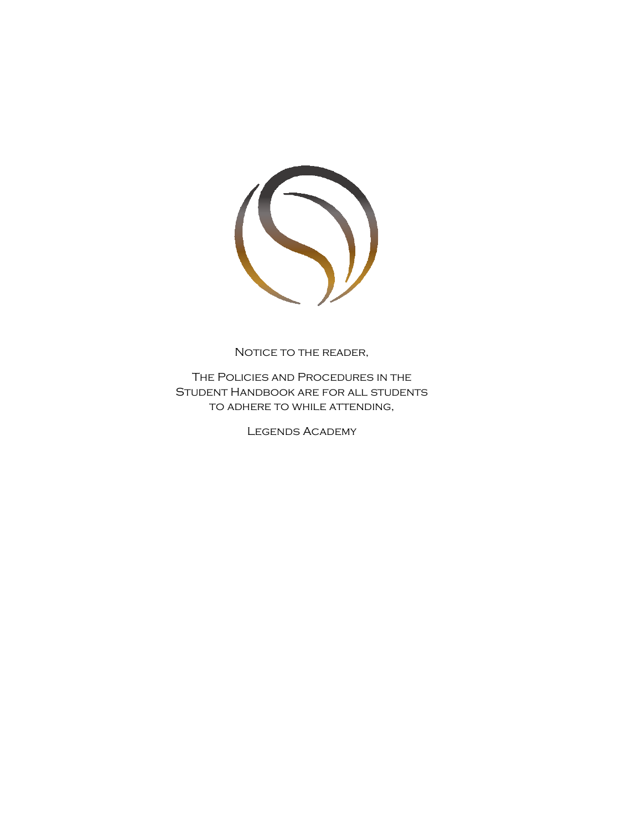

NOTICE TO THE READER,

The Policies and Procedures in the Student Handbook are for all students to adhere to while attending,

Legends Academy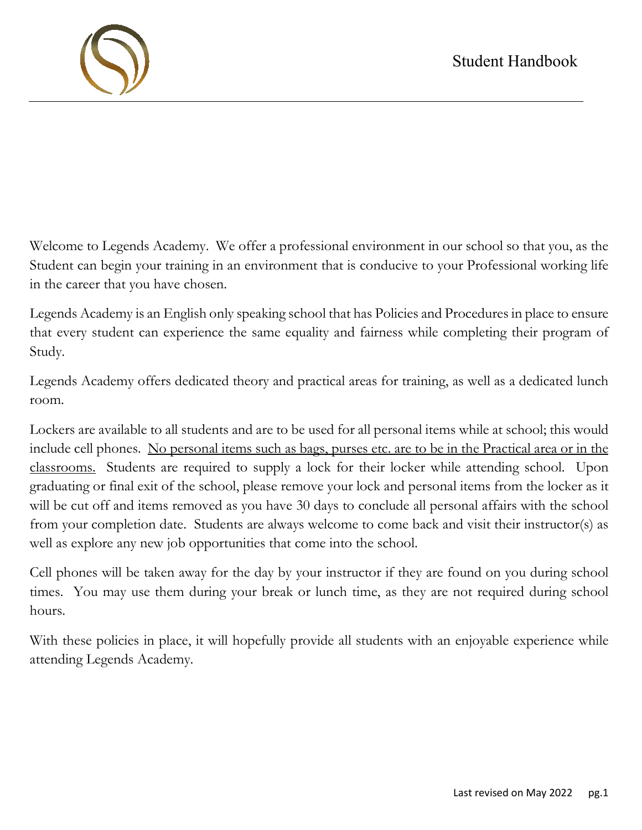

Welcome to Legends Academy. We offer a professional environment in our school so that you, as the Student can begin your training in an environment that is conducive to your Professional working life in the career that you have chosen.

Legends Academy is an English only speaking school that has Policies and Procedures in place to ensure that every student can experience the same equality and fairness while completing their program of Study.

Legends Academy offers dedicated theory and practical areas for training, as well as a dedicated lunch room.

Lockers are available to all students and are to be used for all personal items while at school; this would include cell phones. No personal items such as bags, purses etc. are to be in the Practical area or in the classrooms. Students are required to supply a lock for their locker while attending school. Upon graduating or final exit of the school, please remove your lock and personal items from the locker as it will be cut off and items removed as you have 30 days to conclude all personal affairs with the school from your completion date. Students are always welcome to come back and visit their instructor(s) as well as explore any new job opportunities that come into the school.

Cell phones will be taken away for the day by your instructor if they are found on you during school times. You may use them during your break or lunch time, as they are not required during school hours.

With these policies in place, it will hopefully provide all students with an enjoyable experience while attending Legends Academy.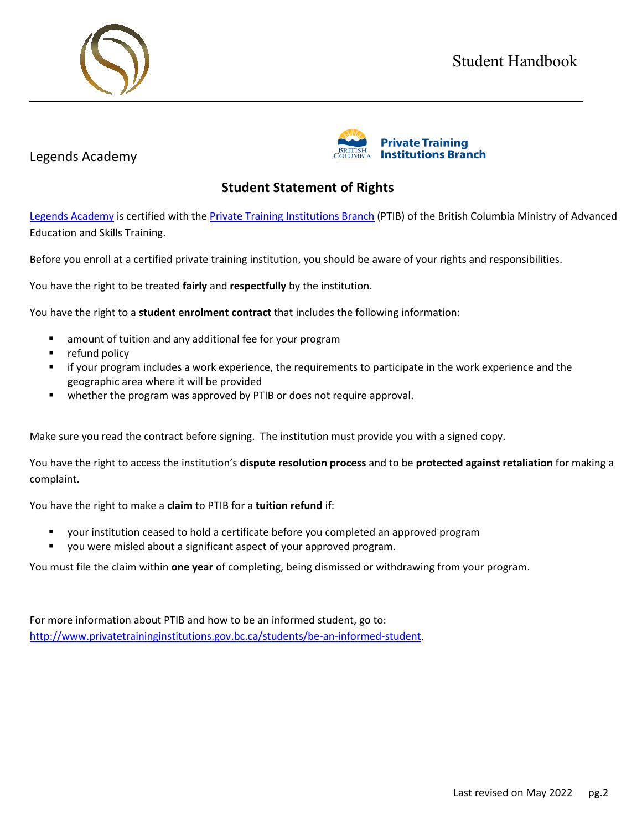# Student Handbook





# **Student Statement of Rights**

[Legends Academy](https://www.legendsacademy/) is certified with the [Private Training Institutions Branch](https://www.privatetraininginstitutions.gov.bc.ca/) (PTIB) of the British Columbia Ministry of Advanced Education and Skills Training.

Before you enroll at a certified private training institution, you should be aware of your rights and responsibilities.

You have the right to be treated **fairly** and **respectfully** by the institution.

You have the right to a **student enrolment contract** that includes the following information:

- **E** amount of tuition and any additional fee for your program
- **•** refund policy

Legends Academy

- if your program includes a work experience, the requirements to participate in the work experience and the geographic area where it will be provided
- whether the program was approved by PTIB or does not require approval.

Make sure you read the contract before signing. The institution must provide you with a signed copy.

You have the right to access the institution's **dispute resolution process** and to be **protected against retaliation** for making a complaint.

You have the right to make a **claim** to PTIB for a **tuition refund** if:

- your institution ceased to hold a certificate before you completed an approved program
- you were misled about a significant aspect of your approved program.

You must file the claim within **one year** of completing, being dismissed or withdrawing from your program.

For more information about PTIB and how to be an informed student, go to: [http://www.privatetraininginstitutions.gov.bc.ca/students/be-an-informed-student.](http://www.privatetraininginstitutions.gov.bc.ca/students/be-an-informed-student)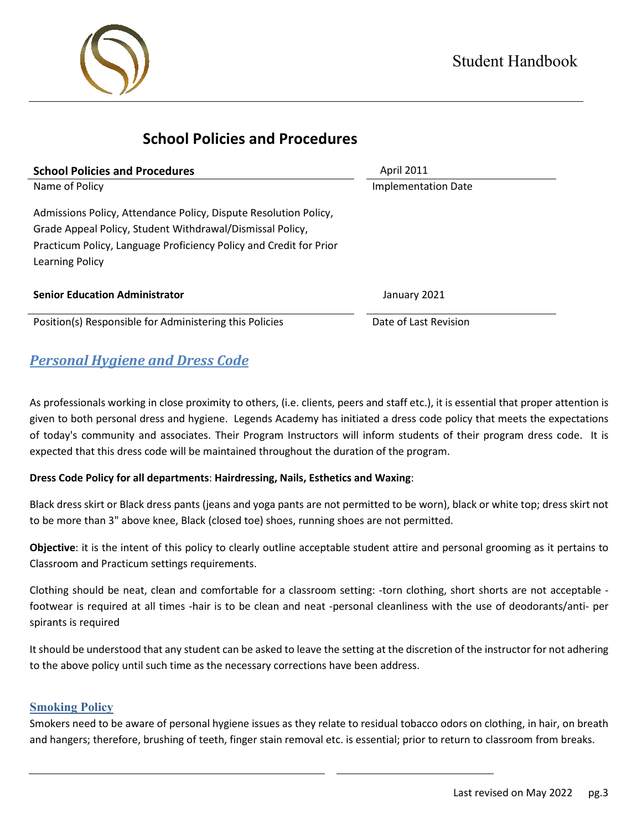

# **School Policies and Procedures**

| <b>School Policies and Procedures</b>                              | <b>April 2011</b>     |
|--------------------------------------------------------------------|-----------------------|
| Name of Policy<br><b>Implementation Date</b>                       |                       |
| Admissions Policy, Attendance Policy, Dispute Resolution Policy,   |                       |
| Grade Appeal Policy, Student Withdrawal/Dismissal Policy,          |                       |
| Practicum Policy, Language Proficiency Policy and Credit for Prior |                       |
| Learning Policy                                                    |                       |
| <b>Senior Education Administrator</b>                              | January 2021          |
| Position(s) Responsible for Administering this Policies            | Date of Last Revision |

# *Personal Hygiene and Dress Code*

As professionals working in close proximity to others, (i.e. clients, peers and staff etc.), it is essential that proper attention is given to both personal dress and hygiene. Legends Academy has initiated a dress code policy that meets the expectations of today's community and associates. Their Program Instructors will inform students of their program dress code. It is expected that this dress code will be maintained throughout the duration of the program.

## **Dress Code Policy for all departments**: **Hairdressing, Nails, Esthetics and Waxing**:

Black dress skirt or Black dress pants (jeans and yoga pants are not permitted to be worn), black or white top; dress skirt not to be more than 3" above knee, Black (closed toe) shoes, running shoes are not permitted.

**Objective**: it is the intent of this policy to clearly outline acceptable student attire and personal grooming as it pertains to Classroom and Practicum settings requirements.

Clothing should be neat, clean and comfortable for a classroom setting: -torn clothing, short shorts are not acceptable footwear is required at all times -hair is to be clean and neat -personal cleanliness with the use of deodorants/anti- per spirants is required

It should be understood that any student can be asked to leave the setting at the discretion of the instructor for not adhering to the above policy until such time as the necessary corrections have been address.

## **Smoking Policy**

Smokers need to be aware of personal hygiene issues as they relate to residual tobacco odors on clothing, in hair, on breath and hangers; therefore, brushing of teeth, finger stain removal etc. is essential; prior to return to classroom from breaks.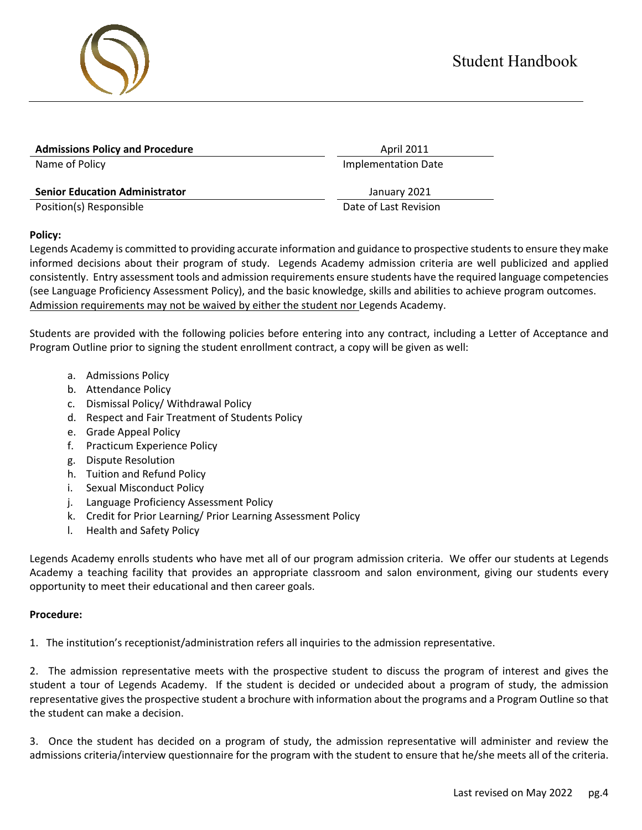| <b>Admissions Policy and Procedure</b> | <b>April 2011</b>          |  |
|----------------------------------------|----------------------------|--|
| Name of Policy                         | <b>Implementation Date</b> |  |
|                                        |                            |  |
| <b>Senior Education Administrator</b>  | January 2021               |  |
| Position(s) Responsible                | Date of Last Revision      |  |
|                                        |                            |  |

#### **Policy:**

Legends Academy is committed to providing accurate information and guidance to prospective students to ensure they make informed decisions about their program of study. Legends Academy admission criteria are well publicized and applied consistently. Entry assessment tools and admission requirements ensure students have the required language competencies (see Language Proficiency Assessment Policy), and the basic knowledge, skills and abilities to achieve program outcomes. Admission requirements may not be waived by either the student nor Legends Academy.

Students are provided with the following policies before entering into any contract, including a Letter of Acceptance and Program Outline prior to signing the student enrollment contract, a copy will be given as well:

- a. Admissions Policy
- b. Attendance Policy
- c. Dismissal Policy/ Withdrawal Policy
- d. Respect and Fair Treatment of Students Policy
- e. Grade Appeal Policy
- f. Practicum Experience Policy
- g. Dispute Resolution
- h. Tuition and Refund Policy
- i. Sexual Misconduct Policy
- j. Language Proficiency Assessment Policy
- k. Credit for Prior Learning/ Prior Learning Assessment Policy
- l. Health and Safety Policy

Legends Academy enrolls students who have met all of our program admission criteria. We offer our students at Legends Academy a teaching facility that provides an appropriate classroom and salon environment, giving our students every opportunity to meet their educational and then career goals.

#### **Procedure:**

1. The institution's receptionist/administration refers all inquiries to the admission representative.

2. The admission representative meets with the prospective student to discuss the program of interest and gives the student a tour of Legends Academy. If the student is decided or undecided about a program of study, the admission representative gives the prospective student a brochure with information about the programs and a Program Outline so that the student can make a decision.

3. Once the student has decided on a program of study, the admission representative will administer and review the admissions criteria/interview questionnaire for the program with the student to ensure that he/she meets all of the criteria.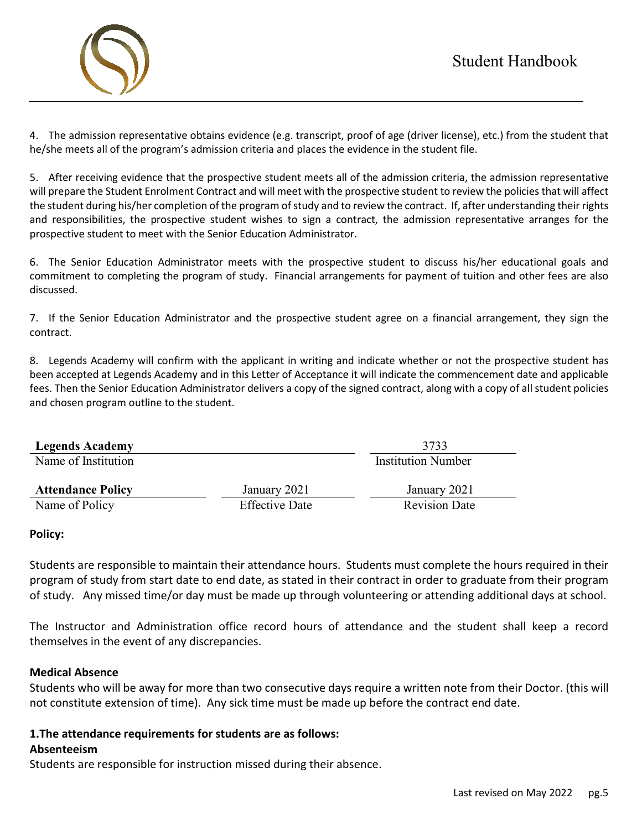

4. The admission representative obtains evidence (e.g. transcript, proof of age (driver license), etc.) from the student that he/she meets all of the program's admission criteria and places the evidence in the student file.

5. After receiving evidence that the prospective student meets all of the admission criteria, the admission representative will prepare the Student Enrolment Contract and will meet with the prospective student to review the policies that will affect the student during his/her completion of the program of study and to review the contract. If, after understanding their rights and responsibilities, the prospective student wishes to sign a contract, the admission representative arranges for the prospective student to meet with the Senior Education Administrator.

6. The Senior Education Administrator meets with the prospective student to discuss his/her educational goals and commitment to completing the program of study. Financial arrangements for payment of tuition and other fees are also discussed.

7. If the Senior Education Administrator and the prospective student agree on a financial arrangement, they sign the contract.

8. Legends Academy will confirm with the applicant in writing and indicate whether or not the prospective student has been accepted at Legends Academy and in this Letter of Acceptance it will indicate the commencement date and applicable fees. Then the Senior Education Administrator delivers a copy of the signed contract, along with a copy of all student policies and chosen program outline to the student.

| <b>Legends Academy</b>   |                           | 3733                 |
|--------------------------|---------------------------|----------------------|
| Name of Institution      | <b>Institution Number</b> |                      |
| <b>Attendance Policy</b> | January 2021              | January 2021         |
| Name of Policy           | <b>Effective Date</b>     | <b>Revision Date</b> |
|                          |                           |                      |

#### **Policy:**

Students are responsible to maintain their attendance hours. Students must complete the hours required in their program of study from start date to end date, as stated in their contract in order to graduate from their program of study. Any missed time/or day must be made up through volunteering or attending additional days at school.

The Instructor and Administration office record hours of attendance and the student shall keep a record themselves in the event of any discrepancies.

#### **Medical Absence**

Students who will be away for more than two consecutive days require a written note from their Doctor. (this will not constitute extension of time). Any sick time must be made up before the contract end date.

# **1.The attendance requirements for students are as follows:**

#### **Absenteeism**

Students are responsible for instruction missed during their absence.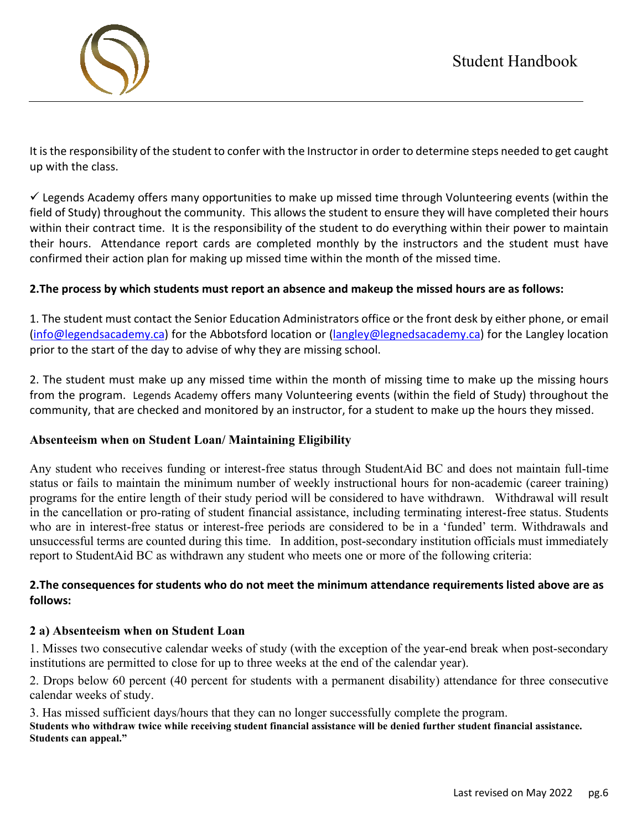It is the responsibility of the student to confer with the Instructor in order to determine steps needed to get caught up with the class.

 $\checkmark$  Legends Academy offers many opportunities to make up missed time through Volunteering events (within the field of Study) throughout the community. This allows the student to ensure they will have completed their hours within their contract time. It is the responsibility of the student to do everything within their power to maintain their hours. Attendance report cards are completed monthly by the instructors and the student must have confirmed their action plan for making up missed time within the month of the missed time.

# **2.The process by which students must report an absence and makeup the missed hours are as follows:**

1. The student must contact the Senior Education Administrators office or the front desk by either phone, or email [\(info@legendsacademy.ca\)](mailto:info@legendsacademy.ca) for the Abbotsford location or [\(langley@legnedsacademy.ca\)](mailto:langley@legnedsacademy.ca) for the Langley location prior to the start of the day to advise of why they are missing school.

2. The student must make up any missed time within the month of missing time to make up the missing hours from the program. Legends Academy offers many Volunteering events (within the field of Study) throughout the community, that are checked and monitored by an instructor, for a student to make up the hours they missed.

# **Absenteeism when on Student Loan/ Maintaining Eligibility**

Any student who receives funding or interest-free status through StudentAid BC and does not maintain full-time status or fails to maintain the minimum number of weekly instructional hours for non-academic (career training) programs for the entire length of their study period will be considered to have withdrawn. Withdrawal will result in the cancellation or pro-rating of student financial assistance, including terminating interest-free status. Students who are in interest-free status or interest-free periods are considered to be in a 'funded' term. Withdrawals and unsuccessful terms are counted during this time. In addition, post-secondary institution officials must immediately report to StudentAid BC as withdrawn any student who meets one or more of the following criteria:

# **2.The consequences for students who do not meet the minimum attendance requirements listed above are as follows:**

## **2 a) Absenteeism when on Student Loan**

1. Misses two consecutive calendar weeks of study (with the exception of the year-end break when post-secondary institutions are permitted to close for up to three weeks at the end of the calendar year).

2. Drops below 60 percent (40 percent for students with a permanent disability) attendance for three consecutive calendar weeks of study.

3. Has missed sufficient days/hours that they can no longer successfully complete the program.

**Students who withdraw twice while receiving student financial assistance will be denied further student financial assistance. Students can appeal."**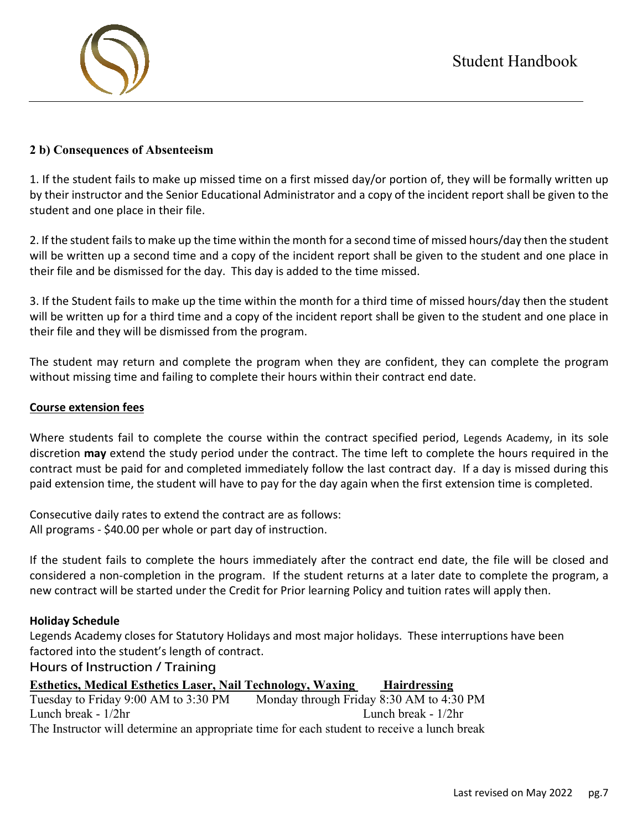

1. If the student fails to make up missed time on a first missed day/or portion of, they will be formally written up by their instructor and the Senior Educational Administrator and a copy of the incident report shall be given to the student and one place in their file.

2. If the student fails to make up the time within the month for a second time of missed hours/day then the student will be written up a second time and a copy of the incident report shall be given to the student and one place in their file and be dismissed for the day. This day is added to the time missed.

3. If the Student fails to make up the time within the month for a third time of missed hours/day then the student will be written up for a third time and a copy of the incident report shall be given to the student and one place in their file and they will be dismissed from the program.

The student may return and complete the program when they are confident, they can complete the program without missing time and failing to complete their hours within their contract end date.

#### **Course extension fees**

Where students fail to complete the course within the contract specified period, Legends Academy, in its sole discretion **may** extend the study period under the contract. The time left to complete the hours required in the contract must be paid for and completed immediately follow the last contract day. If a day is missed during this paid extension time, the student will have to pay for the day again when the first extension time is completed.

Consecutive daily rates to extend the contract are as follows: All programs - \$40.00 per whole or part day of instruction.

If the student fails to complete the hours immediately after the contract end date, the file will be closed and considered a non-completion in the program. If the student returns at a later date to complete the program, a new contract will be started under the Credit for Prior learning Policy and tuition rates will apply then.

#### **Holiday Schedule**

Legends Academy closes for Statutory Holidays and most major holidays. These interruptions have been factored into the student's length of contract.

#### **Hours of Instruction / Training**

**Esthetics, Medical Esthetics Laser, Nail Technology, Waxing Hairdressing** Tuesday to Friday 9:00 AM to 3:30 PM Monday through Friday 8:30 AM to 4:30 PM Lunch break - 1/2hr Lunch break - 1/2hr The Instructor will determine an appropriate time for each student to receive a lunch break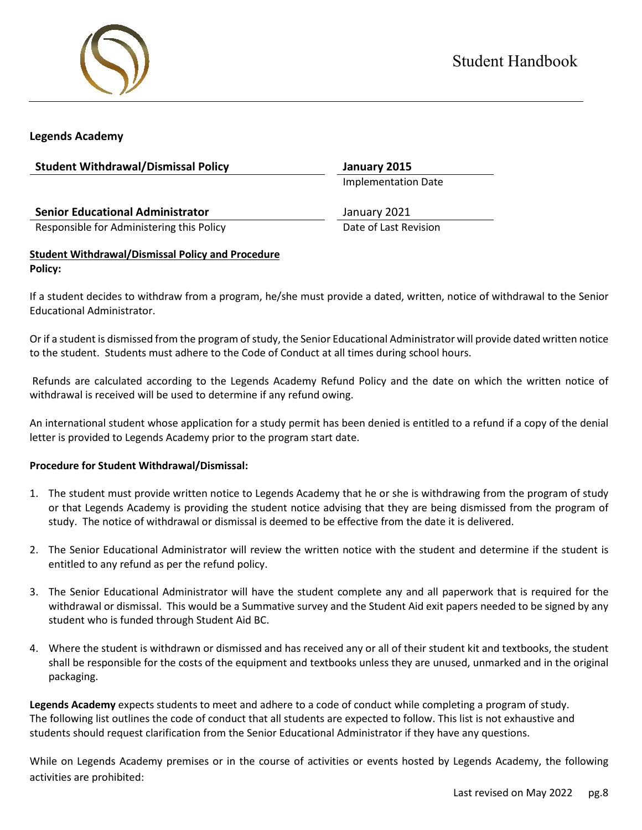



#### **Legends Academy**

| <b>Student Withdrawal/Dismissal Policy</b>               | January 2015               |
|----------------------------------------------------------|----------------------------|
|                                                          | <b>Implementation Date</b> |
| <b>Senior Educational Administrator</b>                  | January 2021               |
| Responsible for Administering this Policy                | Date of Last Revision      |
| <b>Student Withdrawal/Dismissal Policy and Procedure</b> |                            |

**Policy:**

If a student decides to withdraw from a program, he/she must provide a dated, written, notice of withdrawal to the Senior Educational Administrator.

Or if a student is dismissed from the program of study, the Senior Educational Administrator will provide dated written notice to the student. Students must adhere to the Code of Conduct at all times during school hours.

Refunds are calculated according to the Legends Academy Refund Policy and the date on which the written notice of withdrawal is received will be used to determine if any refund owing.

An international student whose application for a study permit has been denied is entitled to a refund if a copy of the denial letter is provided to Legends Academy prior to the program start date.

#### **Procedure for Student Withdrawal/Dismissal:**

- 1. The student must provide written notice to Legends Academy that he or she is withdrawing from the program of study or that Legends Academy is providing the student notice advising that they are being dismissed from the program of study. The notice of withdrawal or dismissal is deemed to be effective from the date it is delivered.
- 2. The Senior Educational Administrator will review the written notice with the student and determine if the student is entitled to any refund as per the refund policy.
- 3. The Senior Educational Administrator will have the student complete any and all paperwork that is required for the withdrawal or dismissal. This would be a Summative survey and the Student Aid exit papers needed to be signed by any student who is funded through Student Aid BC.
- 4. Where the student is withdrawn or dismissed and has received any or all of their student kit and textbooks, the student shall be responsible for the costs of the equipment and textbooks unless they are unused, unmarked and in the original packaging.

**Legends Academy** expects students to meet and adhere to a code of conduct while completing a program of study. The following list outlines the code of conduct that all students are expected to follow. This list is not exhaustive and students should request clarification from the Senior Educational Administrator if they have any questions.

While on Legends Academy premises or in the course of activities or events hosted by Legends Academy, the following activities are prohibited: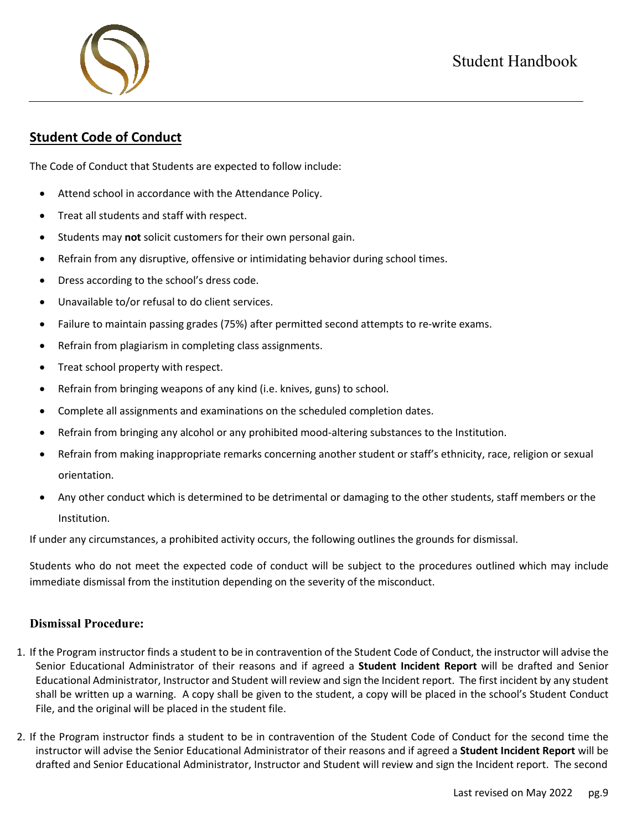# **Student Code of Conduct**

The Code of Conduct that Students are expected to follow include:

- Attend school in accordance with the Attendance Policy.
- Treat all students and staff with respect.
- Students may **not** solicit customers for their own personal gain.
- Refrain from any disruptive, offensive or intimidating behavior during school times.
- Dress according to the school's dress code.
- Unavailable to/or refusal to do client services.
- Failure to maintain passing grades (75%) after permitted second attempts to re-write exams.
- Refrain from plagiarism in completing class assignments.
- Treat school property with respect.
- Refrain from bringing weapons of any kind (i.e. knives, guns) to school.
- Complete all assignments and examinations on the scheduled completion dates.
- Refrain from bringing any alcohol or any prohibited mood-altering substances to the Institution.
- Refrain from making inappropriate remarks concerning another student or staff's ethnicity, race, religion or sexual orientation.
- Any other conduct which is determined to be detrimental or damaging to the other students, staff members or the Institution.

If under any circumstances, a prohibited activity occurs, the following outlines the grounds for dismissal.

Students who do not meet the expected code of conduct will be subject to the procedures outlined which may include immediate dismissal from the institution depending on the severity of the misconduct.

#### **Dismissal Procedure:**

- 1. If the Program instructor finds a student to be in contravention of the Student Code of Conduct, the instructor will advise the Senior Educational Administrator of their reasons and if agreed a **Student Incident Report** will be drafted and Senior Educational Administrator, Instructor and Student will review and sign the Incident report. The first incident by any student shall be written up a warning. A copy shall be given to the student, a copy will be placed in the school's Student Conduct File, and the original will be placed in the student file.
- 2. If the Program instructor finds a student to be in contravention of the Student Code of Conduct for the second time the instructor will advise the Senior Educational Administrator of their reasons and if agreed a **Student Incident Report** will be drafted and Senior Educational Administrator, Instructor and Student will review and sign the Incident report. The second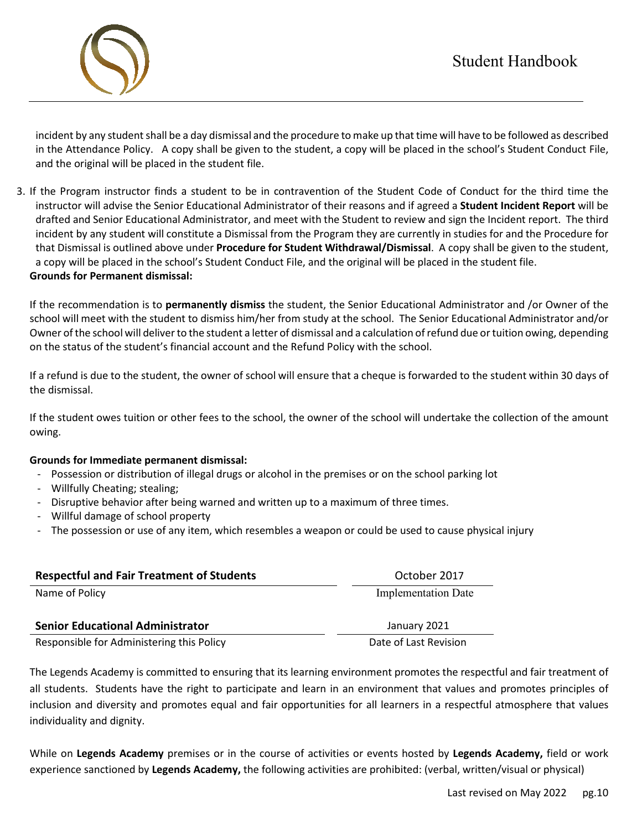

incident by any student shall be a day dismissal and the procedure to make up that time will have to be followed as described in the Attendance Policy. A copy shall be given to the student, a copy will be placed in the school's Student Conduct File, and the original will be placed in the student file.

3. If the Program instructor finds a student to be in contravention of the Student Code of Conduct for the third time the instructor will advise the Senior Educational Administrator of their reasons and if agreed a **Student Incident Report** will be drafted and Senior Educational Administrator, and meet with the Student to review and sign the Incident report. The third incident by any student will constitute a Dismissal from the Program they are currently in studies for and the Procedure for that Dismissal is outlined above under **Procedure for Student Withdrawal/Dismissal**. A copy shall be given to the student, a copy will be placed in the school's Student Conduct File, and the original will be placed in the student file. **Grounds for Permanent dismissal:**

If the recommendation is to **permanently dismiss** the student, the Senior Educational Administrator and /or Owner of the school will meet with the student to dismiss him/her from study at the school. The Senior Educational Administrator and/or Owner of the school will deliver to the student a letter of dismissal and a calculation of refund due or tuition owing, depending on the status of the student's financial account and the Refund Policy with the school.

If a refund is due to the student, the owner of school will ensure that a cheque is forwarded to the student within 30 days of the dismissal.

If the student owes tuition or other fees to the school, the owner of the school will undertake the collection of the amount owing.

#### **Grounds for Immediate permanent dismissal:**

- Possession or distribution of illegal drugs or alcohol in the premises or on the school parking lot
- Willfully Cheating; stealing;
- Disruptive behavior after being warned and written up to a maximum of three times.
- Willful damage of school property
- The possession or use of any item, which resembles a weapon or could be used to cause physical injury

| <b>Respectful and Fair Treatment of Students</b> | October 2017               |
|--------------------------------------------------|----------------------------|
| Name of Policy                                   | <b>Implementation Date</b> |
| <b>Senior Educational Administrator</b>          | January 2021               |
| Responsible for Administering this Policy        | Date of Last Revision      |

The Legends Academy is committed to ensuring that its learning environment promotes the respectful and fair treatment of all students. Students have the right to participate and learn in an environment that values and promotes principles of inclusion and diversity and promotes equal and fair opportunities for all learners in a respectful atmosphere that values individuality and dignity.

While on **Legends Academy** premises or in the course of activities or events hosted by **Legends Academy,** field or work experience sanctioned by **Legends Academy,** the following activities are prohibited: (verbal, written/visual or physical)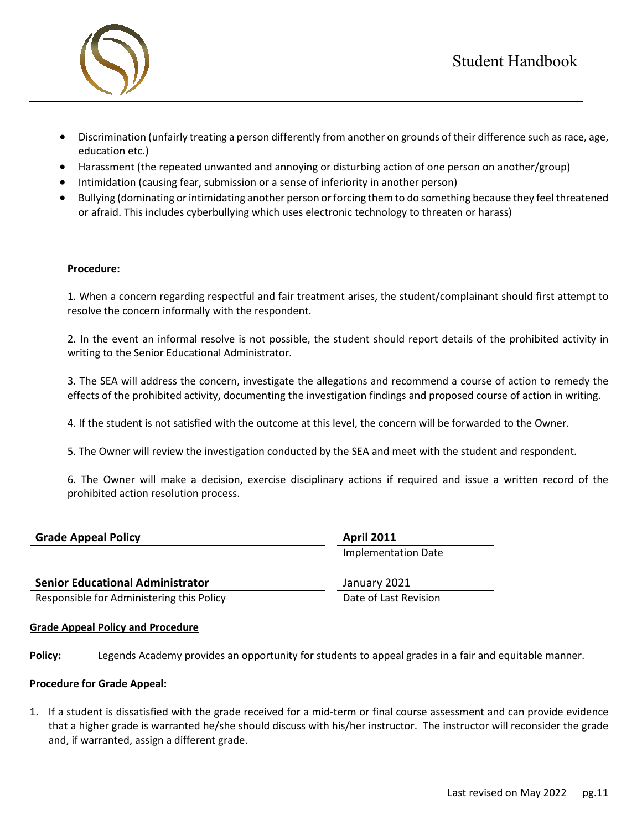



- Discrimination (unfairly treating a person differently from another on grounds of their difference such as race, age, education etc.)
- Harassment (the repeated unwanted and annoying or disturbing action of one person on another/group)
- Intimidation (causing fear, submission or a sense of inferiority in another person)
- Bullying (dominating or intimidating another person or forcing them to do something because they feel threatened or afraid. This includes cyberbullying which uses electronic technology to threaten or harass)

#### **Procedure:**

1. When a concern regarding respectful and fair treatment arises, the student/complainant should first attempt to resolve the concern informally with the respondent.

2. In the event an informal resolve is not possible, the student should report details of the prohibited activity in writing to the Senior Educational Administrator.

3. The SEA will address the concern, investigate the allegations and recommend a course of action to remedy the effects of the prohibited activity, documenting the investigation findings and proposed course of action in writing.

4. If the student is not satisfied with the outcome at this level, the concern will be forwarded to the Owner.

5. The Owner will review the investigation conducted by the SEA and meet with the student and respondent.

6. The Owner will make a decision, exercise disciplinary actions if required and issue a written record of the prohibited action resolution process.

| <b>Grade Appeal Policy</b>              | <b>April 2011</b>   |  |
|-----------------------------------------|---------------------|--|
|                                         | Implementation Date |  |
| <b>Senior Educational Administrator</b> | January 2021        |  |

Responsible for Administering this Policy **Date of Last Revision** Date of Last Revision

#### **Grade Appeal Policy and Procedure**

**Policy:** Legends Academy provides an opportunity for students to appeal grades in a fair and equitable manner.

#### **Procedure for Grade Appeal:**

1. If a student is dissatisfied with the grade received for a mid-term or final course assessment and can provide evidence that a higher grade is warranted he/she should discuss with his/her instructor. The instructor will reconsider the grade and, if warranted, assign a different grade.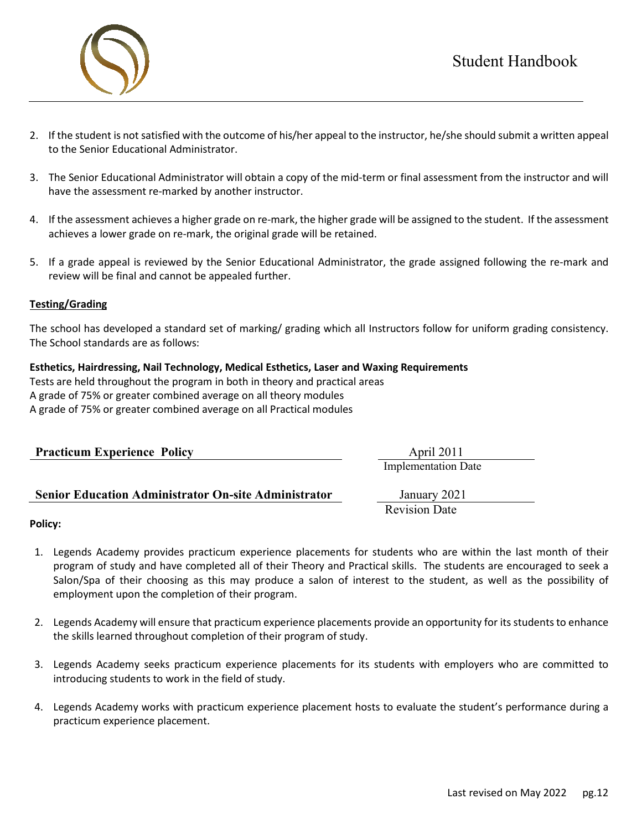

- 2. If the student is not satisfied with the outcome of his/her appeal to the instructor, he/she should submit a written appeal to the Senior Educational Administrator.
- 3. The Senior Educational Administrator will obtain a copy of the mid-term or final assessment from the instructor and will have the assessment re-marked by another instructor.
- 4. If the assessment achieves a higher grade on re-mark, the higher grade will be assigned to the student. If the assessment achieves a lower grade on re-mark, the original grade will be retained.
- 5. If a grade appeal is reviewed by the Senior Educational Administrator, the grade assigned following the re-mark and review will be final and cannot be appealed further.

#### **Testing/Grading**

The school has developed a standard set of marking/ grading which all Instructors follow for uniform grading consistency. The School standards are as follows:

#### **Esthetics, Hairdressing, Nail Technology, Medical Esthetics, Laser and Waxing Requirements**

Tests are held throughout the program in both in theory and practical areas A grade of 75% or greater combined average on all theory modules A grade of 75% or greater combined average on all Practical modules

| <b>Practicum Experience Policy</b> | April 2011                 |
|------------------------------------|----------------------------|
|                                    | <b>Implementation Date</b> |

#### **Senior Education Administrator On-site Administrator** January 2021

Revision Date

#### **Policy:**

- 1. Legends Academy provides practicum experience placements for students who are within the last month of their program of study and have completed all of their Theory and Practical skills. The students are encouraged to seek a Salon/Spa of their choosing as this may produce a salon of interest to the student, as well as the possibility of employment upon the completion of their program.
- 2. Legends Academy will ensure that practicum experience placements provide an opportunity for its students to enhance the skills learned throughout completion of their program of study.
- 3. Legends Academy seeks practicum experience placements for its students with employers who are committed to introducing students to work in the field of study.
- 4. Legends Academy works with practicum experience placement hosts to evaluate the student's performance during a practicum experience placement.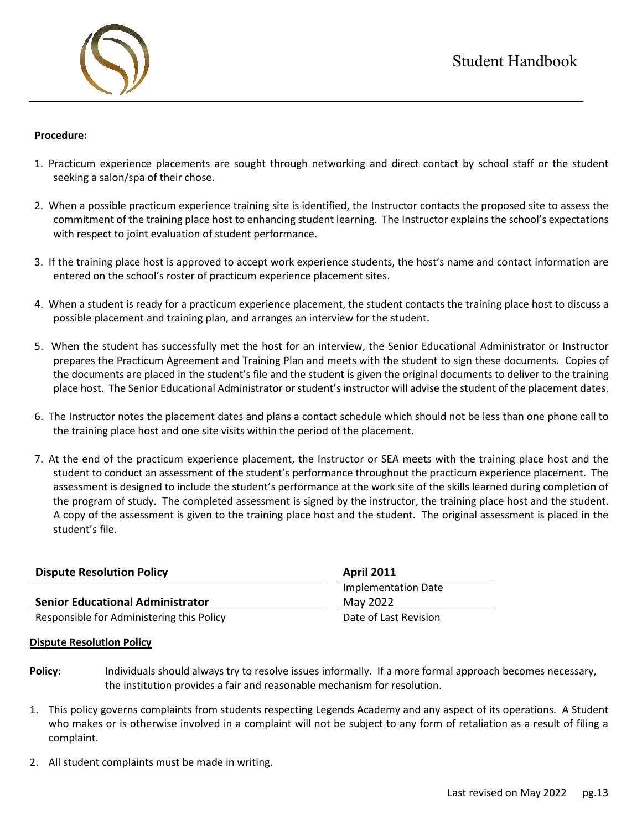

#### **Procedure:**

- 1. Practicum experience placements are sought through networking and direct contact by school staff or the student seeking a salon/spa of their chose.
- 2. When a possible practicum experience training site is identified, the Instructor contacts the proposed site to assess the commitment of the training place host to enhancing student learning. The Instructor explains the school's expectations with respect to joint evaluation of student performance.
- 3. If the training place host is approved to accept work experience students, the host's name and contact information are entered on the school's roster of practicum experience placement sites.
- 4. When a student is ready for a practicum experience placement, the student contacts the training place host to discuss a possible placement and training plan, and arranges an interview for the student.
- 5. When the student has successfully met the host for an interview, the Senior Educational Administrator or Instructor prepares the Practicum Agreement and Training Plan and meets with the student to sign these documents. Copies of the documents are placed in the student's file and the student is given the original documents to deliver to the training place host. The Senior Educational Administrator or student's instructor will advise the student of the placement dates.
- 6. The Instructor notes the placement dates and plans a contact schedule which should not be less than one phone call to the training place host and one site visits within the period of the placement.
- 7. At the end of the practicum experience placement, the Instructor or SEA meets with the training place host and the student to conduct an assessment of the student's performance throughout the practicum experience placement. The assessment is designed to include the student's performance at the work site of the skills learned during completion of the program of study. The completed assessment is signed by the instructor, the training place host and the student. A copy of the assessment is given to the training place host and the student. The original assessment is placed in the student's file.

| <b>Dispute Resolution Policy</b>          | <b>April 2011</b>     |  |
|-------------------------------------------|-----------------------|--|
|                                           | Implementation Date   |  |
| <b>Senior Educational Administrator</b>   | May 2022              |  |
| Responsible for Administering this Policy | Date of Last Revision |  |

#### **Dispute Resolution Policy**

- **Policy**: Individuals should always try to resolve issues informally. If a more formal approach becomes necessary, the institution provides a fair and reasonable mechanism for resolution.
- 1. This policy governs complaints from students respecting Legends Academy and any aspect of its operations. A Student who makes or is otherwise involved in a complaint will not be subject to any form of retaliation as a result of filing a complaint.
- 2. All student complaints must be made in writing.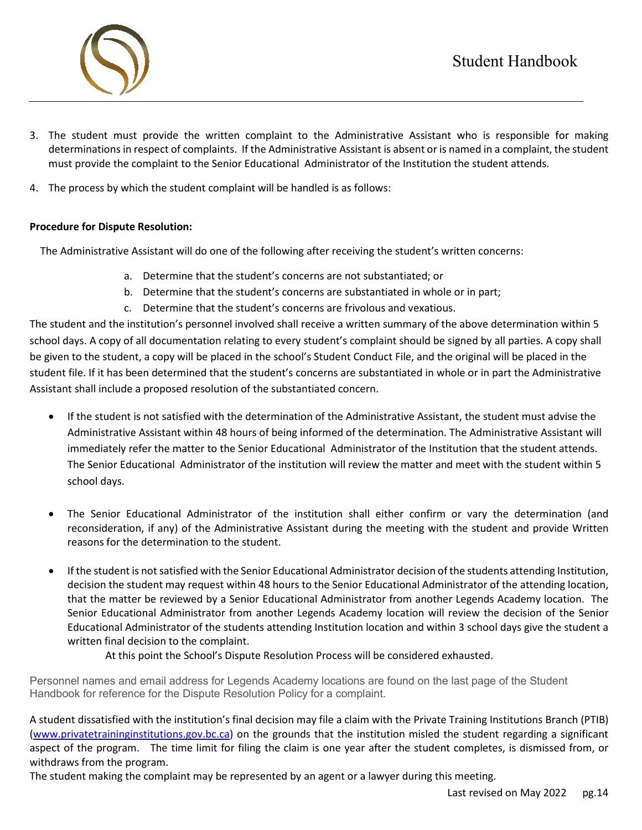

- 3. The student must provide the written complaint to the Administrative Assistant who is responsible for making determinations in respect of complaints. If the Administrative Assistant is absent or is named in a complaint, the student must provide the complaint to the Senior Educational Administrator of the Institution the student attends.
- 4. The process by which the student complaint will be handled is as follows:

#### **Procedure for Dispute Resolution:**

The Administrative Assistant will do one of the following after receiving the student's written concerns:

- a. Determine that the student's concerns are not substantiated; or
- b. Determine that the student's concerns are substantiated in whole or in part;
- c. Determine that the student's concerns are frivolous and vexatious.

The student and the institution's personnel involved shall receive a written summary of the above determination within 5 school days. A copy of all documentation relating to every student's complaint should be signed by all parties. A copy shall be given to the student, a copy will be placed in the school's Student Conduct File, and the original will be placed in the student file. If it has been determined that the student's concerns are substantiated in whole or in part the Administrative Assistant shall include a proposed resolution of the substantiated concern.

- If the student is not satisfied with the determination of the Administrative Assistant, the student must advise the Administrative Assistant within 48 hours of being informed of the determination. The Administrative Assistant will immediately refer the matter to the Senior Educational Administrator of the Institution that the student attends. The Senior Educational Administrator of the institution will review the matter and meet with the student within 5 school days.
- The Senior Educational Administrator of the institution shall either confirm or vary the determination (and reconsideration, if any) of the Administrative Assistant during the meeting with the student and provide Written reasons for the determination to the student.
- If the student is not satisfied with the Senior Educational Administrator decision of the students attending Institution, decision the student may request within 48 hours to the Senior Educational Administrator of the attending location, that the matter be reviewed by a Senior Educational Administrator from another Legends Academy location. The Senior Educational Administrator from another Legends Academy location will review the decision of the Senior Educational Administrator of the students attending Institution location and within 3 school days give the student a written final decision to the complaint.

At this point the School's Dispute Resolution Process will be considered exhausted.

Personnel names and email address for Legends Academy locations are found on the last page of the Student Handbook for reference for the Dispute Resolution Policy for a complaint.

A student dissatisfied with the institution's final decision may file a claim with the Private Training Institutions Branch (PTIB) [\(www.privatetraininginstitutions.gov.bc.ca\)](http://www.privatetraininginstitutions.gov.bc.ca/) on the grounds that the institution misled the student regarding a significant aspect of the program. The time limit for filing the claim is one year after the student completes, is dismissed from, or withdraws from the program.

The student making the complaint may be represented by an agent or a lawyer during this meeting.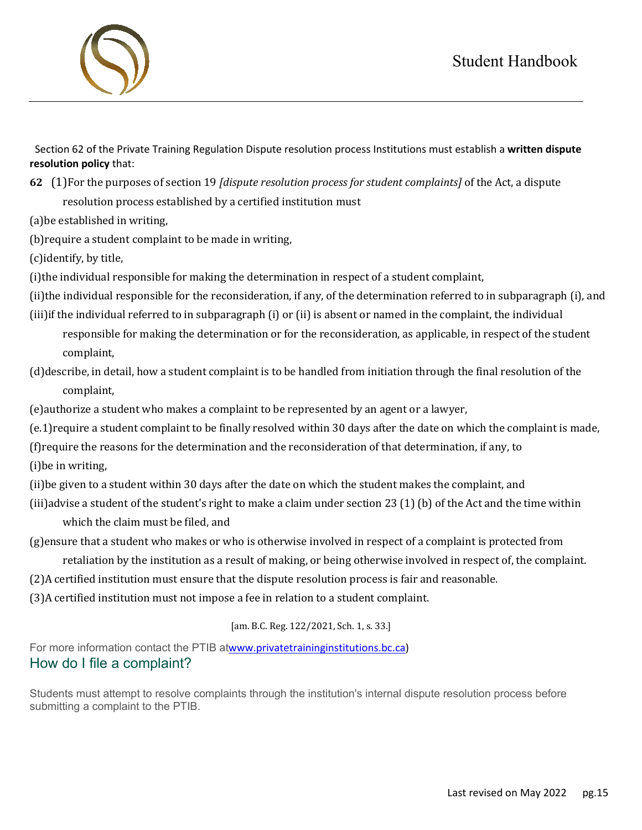# Student Handbook

 Section 62 of the Private Training Regulation Dispute resolution process Institutions must establish a **written dispute resolution policy** that:

**62** (1)For the purposes of section 19 *[dispute resolution process for student complaints]* of the Act, a dispute

resolution process established by a certified institution must

(a)be established in writing,

(b)require a student complaint to be made in writing,

(c)identify, by title,

(i)the individual responsible for making the determination in respect of a student complaint,

(ii)the individual responsible for the reconsideration, if any, of the determination referred to in subparagraph (i), and (iii)if the individual referred to in subparagraph (i) or (ii) is absent or named in the complaint, the individual

responsible for making the determination or for the reconsideration, as applicable, in respect of the student complaint,

(d)describe, in detail, how a student complaint is to be handled from initiation through the final resolution of the complaint,

(e)authorize a student who makes a complaint to be represented by an agent or a lawyer,

(e.1)require a student complaint to be finally resolved within 30 days after the date on which the complaint is made,

(f)require the reasons for the determination and the reconsideration of that determination, if any, to

- (i)be in writing,
- (ii)be given to a student within 30 days after the date on which the student makes the complaint, and

(iii)advise a student of the student's right to make a claim under section 23 (1) (b) of the Act and the time within which the claim must be filed, and

(g)ensure that a student who makes or who is otherwise involved in respect of a complaint is protected from

retaliation by the institution as a result of making, or being otherwise involved in respect of, the complaint.

(2)A certified institution must ensure that the dispute resolution process is fair and reasonable.

(3)A certified institution must not impose a fee in relation to a student complaint.

## [am. B.C. Reg. 122/2021, Sch. 1, s. 33.]

For more information contact the PTIB at[www.privatetraininginstitutions.bc.ca\)](http://www.privatetraininginstitutions.bc.ca/) How do I file a complaint?

Students must attempt to resolve complaints through the institution's internal dispute resolution process before submitting a complaint to the PTIB.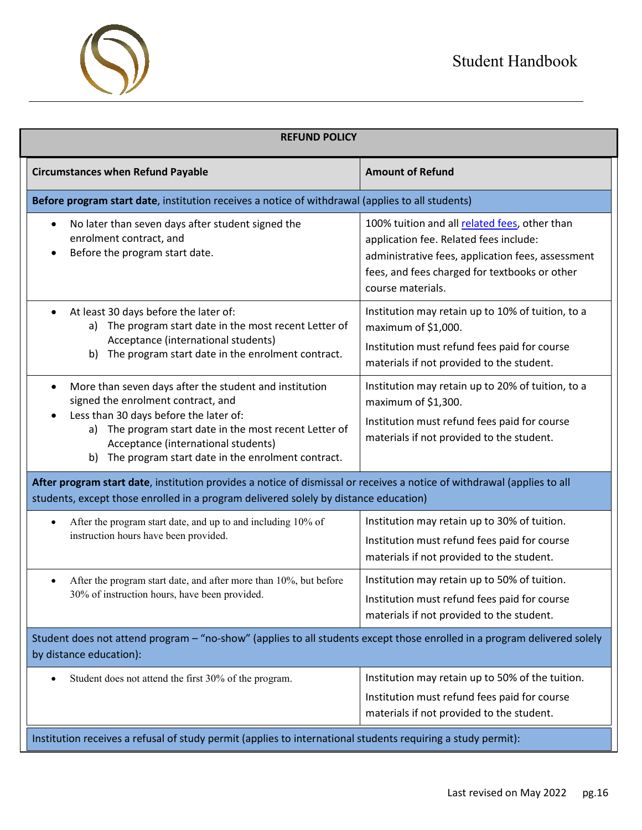

| <b>REFUND POLICY</b>                                                                                                                                                                                                                                                                                 |                                                                                                                                                                                                                    |  |
|------------------------------------------------------------------------------------------------------------------------------------------------------------------------------------------------------------------------------------------------------------------------------------------------------|--------------------------------------------------------------------------------------------------------------------------------------------------------------------------------------------------------------------|--|
| <b>Circumstances when Refund Payable</b>                                                                                                                                                                                                                                                             | <b>Amount of Refund</b>                                                                                                                                                                                            |  |
| Before program start date, institution receives a notice of withdrawal (applies to all students)                                                                                                                                                                                                     |                                                                                                                                                                                                                    |  |
| No later than seven days after student signed the<br>$\bullet$<br>enrolment contract, and<br>Before the program start date.                                                                                                                                                                          | 100% tuition and all related fees, other than<br>application fee. Related fees include:<br>administrative fees, application fees, assessment<br>fees, and fees charged for textbooks or other<br>course materials. |  |
| At least 30 days before the later of:<br>$\bullet$<br>a) The program start date in the most recent Letter of<br>Acceptance (international students)<br>The program start date in the enrolment contract.<br>b)                                                                                       | Institution may retain up to 10% of tuition, to a<br>maximum of \$1,000.<br>Institution must refund fees paid for course<br>materials if not provided to the student.                                              |  |
| More than seven days after the student and institution<br>٠<br>signed the enrolment contract, and<br>Less than 30 days before the later of:<br>a) The program start date in the most recent Letter of<br>Acceptance (international students)<br>b) The program start date in the enrolment contract. | Institution may retain up to 20% of tuition, to a<br>maximum of \$1,300.<br>Institution must refund fees paid for course<br>materials if not provided to the student.                                              |  |
| After program start date, institution provides a notice of dismissal or receives a notice of withdrawal (applies to all<br>students, except those enrolled in a program delivered solely by distance education)                                                                                      |                                                                                                                                                                                                                    |  |
| After the program start date, and up to and including 10% of<br>$\bullet$<br>instruction hours have been provided.                                                                                                                                                                                   | Institution may retain up to 30% of tuition.<br>Institution must refund fees paid for course<br>materials if not provided to the student.                                                                          |  |
| After the program start date, and after more than 10%, but before<br>30% of instruction hours, have been provided.                                                                                                                                                                                   | Institution may retain up to 50% of tuition.<br>Institution must refund fees paid for course<br>materials if not provided to the student.                                                                          |  |
| Student does not attend program - "no-show" (applies to all students except those enrolled in a program delivered solely<br>by distance education):                                                                                                                                                  |                                                                                                                                                                                                                    |  |
| Student does not attend the first 30% of the program.<br>$\bullet$                                                                                                                                                                                                                                   | Institution may retain up to 50% of the tuition.<br>Institution must refund fees paid for course<br>materials if not provided to the student.                                                                      |  |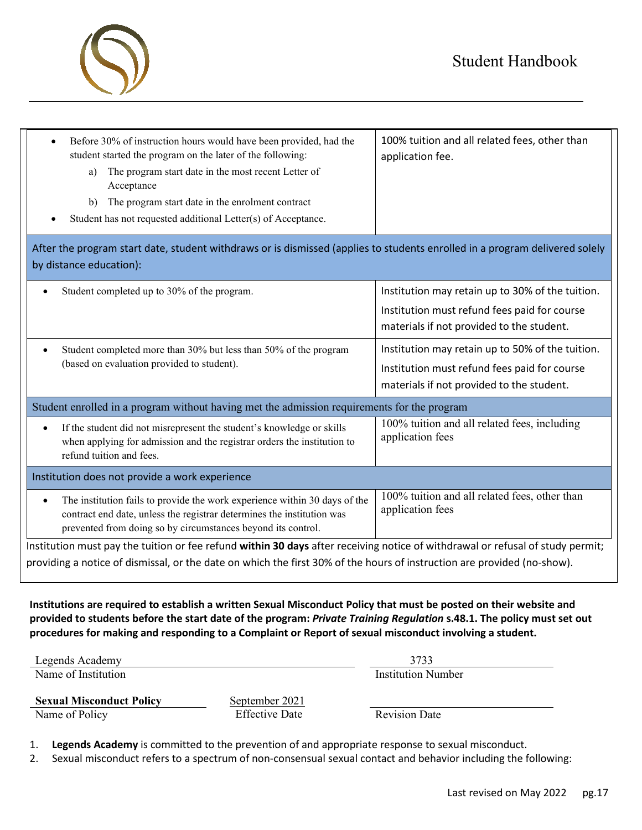

| After the program start date, student withdraws or is dismissed (applies to students enrolled in a program delivered solely<br>by distance education):<br>Institution may retain up to 30% of the tuition.<br>Student completed up to 30% of the program.<br>Institution must refund fees paid for course<br>materials if not provided to the student.<br>Institution may retain up to 50% of the tuition.<br>Student completed more than 30% but less than 50% of the program |  |  |
|--------------------------------------------------------------------------------------------------------------------------------------------------------------------------------------------------------------------------------------------------------------------------------------------------------------------------------------------------------------------------------------------------------------------------------------------------------------------------------|--|--|
|                                                                                                                                                                                                                                                                                                                                                                                                                                                                                |  |  |
|                                                                                                                                                                                                                                                                                                                                                                                                                                                                                |  |  |
|                                                                                                                                                                                                                                                                                                                                                                                                                                                                                |  |  |
|                                                                                                                                                                                                                                                                                                                                                                                                                                                                                |  |  |
|                                                                                                                                                                                                                                                                                                                                                                                                                                                                                |  |  |
| (based on evaluation provided to student).<br>Institution must refund fees paid for course                                                                                                                                                                                                                                                                                                                                                                                     |  |  |
| materials if not provided to the student.                                                                                                                                                                                                                                                                                                                                                                                                                                      |  |  |
| Student enrolled in a program without having met the admission requirements for the program                                                                                                                                                                                                                                                                                                                                                                                    |  |  |
| 100% tuition and all related fees, including<br>If the student did not misrepresent the student's knowledge or skills<br>$\bullet$<br>application fees<br>when applying for admission and the registrar orders the institution to<br>refund tuition and fees.                                                                                                                                                                                                                  |  |  |
| Institution does not provide a work experience                                                                                                                                                                                                                                                                                                                                                                                                                                 |  |  |
| 100% tuition and all related fees, other than<br>The institution fails to provide the work experience within 30 days of the<br>$\bullet$<br>application fees<br>contract end date, unless the registrar determines the institution was<br>prevented from doing so by circumstances beyond its control.                                                                                                                                                                         |  |  |
| Institution must pay the tuition or fee refund within 30 days after receiving notice of withdrawal or refusal of study permit;<br>providing a notice of dismissal, or the date on which the first 30% of the hours of instruction are provided (no-show).                                                                                                                                                                                                                      |  |  |

**Institutions are required to establish a written Sexual Misconduct Policy that must be posted on their website and provided to students before the start date of the program:** *Private Training Regulation* **s.48.1. The policy must set out procedures for making and responding to a Complaint or Report of sexual misconduct involving a student.** 

| Legends Academy     |               |
|---------------------|---------------|
| Name of Institution | Institution N |

Name of Institution Institution Number

| <b>Sexual Misconduct Policy</b> | September 2021        |                      |
|---------------------------------|-----------------------|----------------------|
| Name of Policy                  | <b>Effective Date</b> | <b>Revision Date</b> |

**September 2021**<br>**Effective Date** 

1. **Legends Academy** is committed to the prevention of and appropriate response to sexual misconduct.

2. Sexual misconduct refers to a spectrum of non-consensual sexual contact and behavior including the following: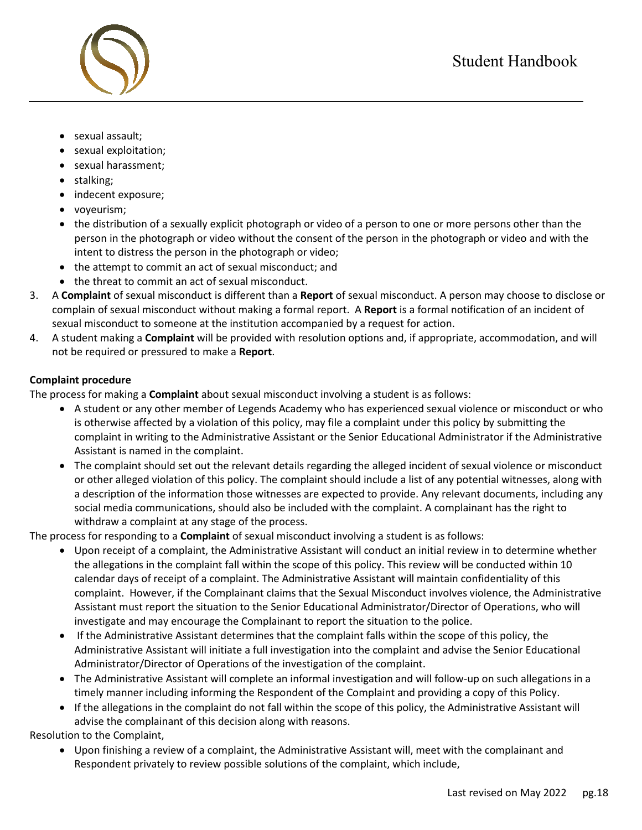

- sexual assault;
- sexual exploitation;
- sexual harassment;
- stalking;
- indecent exposure;
- voyeurism;
- the distribution of a sexually explicit photograph or video of a person to one or more persons other than the person in the photograph or video without the consent of the person in the photograph or video and with the intent to distress the person in the photograph or video;
- the attempt to commit an act of sexual misconduct; and
- the threat to commit an act of sexual misconduct.
- 3. A **Complaint** of sexual misconduct is different than a **Report** of sexual misconduct. A person may choose to disclose or complain of sexual misconduct without making a formal report. A **Report** is a formal notification of an incident of sexual misconduct to someone at the institution accompanied by a request for action.
- 4. A student making a **Complaint** will be provided with resolution options and, if appropriate, accommodation, and will not be required or pressured to make a **Report**.

# **Complaint procedure**

The process for making a **Complaint** about sexual misconduct involving a student is as follows:

- A student or any other member of Legends Academy who has experienced sexual violence or misconduct or who is otherwise affected by a violation of this policy, may file a complaint under this policy by submitting the complaint in writing to the Administrative Assistant or the Senior Educational Administrator if the Administrative Assistant is named in the complaint.
- The complaint should set out the relevant details regarding the alleged incident of sexual violence or misconduct or other alleged violation of this policy. The complaint should include a list of any potential witnesses, along with a description of the information those witnesses are expected to provide. Any relevant documents, including any social media communications, should also be included with the complaint. A complainant has the right to withdraw a complaint at any stage of the process.

The process for responding to a **Complaint** of sexual misconduct involving a student is as follows:

- Upon receipt of a complaint, the Administrative Assistant will conduct an initial review in to determine whether the allegations in the complaint fall within the scope of this policy. This review will be conducted within 10 calendar days of receipt of a complaint. The Administrative Assistant will maintain confidentiality of this complaint. However, if the Complainant claims that the Sexual Misconduct involves violence, the Administrative Assistant must report the situation to the Senior Educational Administrator/Director of Operations, who will investigate and may encourage the Complainant to report the situation to the police.
- If the Administrative Assistant determines that the complaint falls within the scope of this policy, the Administrative Assistant will initiate a full investigation into the complaint and advise the Senior Educational Administrator/Director of Operations of the investigation of the complaint.
- The Administrative Assistant will complete an informal investigation and will follow-up on such allegations in a timely manner including informing the Respondent of the Complaint and providing a copy of this Policy.
- If the allegations in the complaint do not fall within the scope of this policy, the Administrative Assistant will advise the complainant of this decision along with reasons.

Resolution to the Complaint,

• Upon finishing a review of a complaint, the Administrative Assistant will, meet with the complainant and Respondent privately to review possible solutions of the complaint, which include,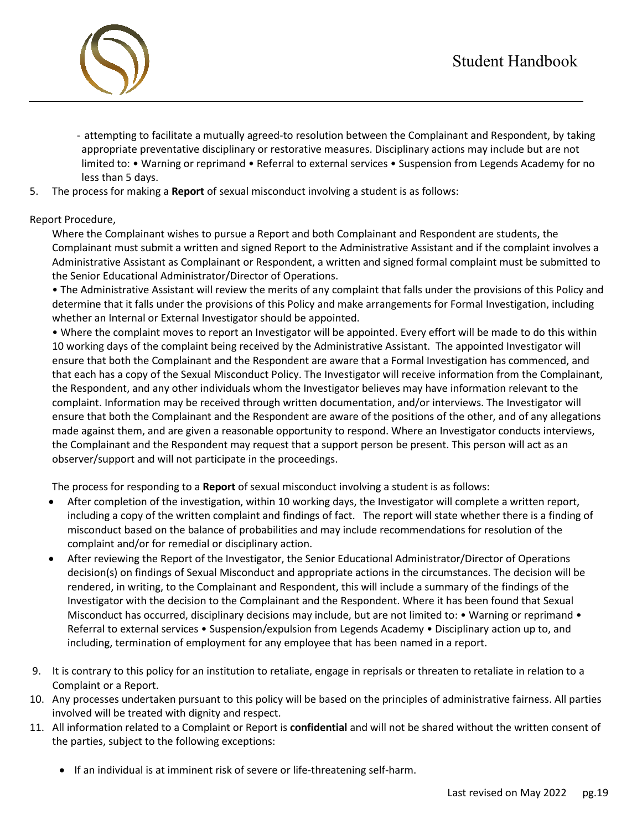

- attempting to facilitate a mutually agreed-to resolution between the Complainant and Respondent, by taking appropriate preventative disciplinary or restorative measures. Disciplinary actions may include but are not limited to: • Warning or reprimand • Referral to external services • Suspension from Legends Academy for no less than 5 days.
- 5. The process for making a **Report** of sexual misconduct involving a student is as follows:

#### Report Procedure,

Where the Complainant wishes to pursue a Report and both Complainant and Respondent are students, the Complainant must submit a written and signed Report to the Administrative Assistant and if the complaint involves a Administrative Assistant as Complainant or Respondent, a written and signed formal complaint must be submitted to the Senior Educational Administrator/Director of Operations.

• The Administrative Assistant will review the merits of any complaint that falls under the provisions of this Policy and determine that it falls under the provisions of this Policy and make arrangements for Formal Investigation, including whether an Internal or External Investigator should be appointed.

• Where the complaint moves to report an Investigator will be appointed. Every effort will be made to do this within 10 working days of the complaint being received by the Administrative Assistant. The appointed Investigator will ensure that both the Complainant and the Respondent are aware that a Formal Investigation has commenced, and that each has a copy of the Sexual Misconduct Policy. The Investigator will receive information from the Complainant, the Respondent, and any other individuals whom the Investigator believes may have information relevant to the complaint. Information may be received through written documentation, and/or interviews. The Investigator will ensure that both the Complainant and the Respondent are aware of the positions of the other, and of any allegations made against them, and are given a reasonable opportunity to respond. Where an Investigator conducts interviews, the Complainant and the Respondent may request that a support person be present. This person will act as an observer/support and will not participate in the proceedings.

The process for responding to a **Report** of sexual misconduct involving a student is as follows:

- After completion of the investigation, within 10 working days, the Investigator will complete a written report, including a copy of the written complaint and findings of fact. The report will state whether there is a finding of misconduct based on the balance of probabilities and may include recommendations for resolution of the complaint and/or for remedial or disciplinary action.
- After reviewing the Report of the Investigator, the Senior Educational Administrator/Director of Operations decision(s) on findings of Sexual Misconduct and appropriate actions in the circumstances. The decision will be rendered, in writing, to the Complainant and Respondent, this will include a summary of the findings of the Investigator with the decision to the Complainant and the Respondent. Where it has been found that Sexual Misconduct has occurred, disciplinary decisions may include, but are not limited to: • Warning or reprimand • Referral to external services • Suspension/expulsion from Legends Academy • Disciplinary action up to, and including, termination of employment for any employee that has been named in a report.
- 9. It is contrary to this policy for an institution to retaliate, engage in reprisals or threaten to retaliate in relation to a Complaint or a Report.
- 10. Any processes undertaken pursuant to this policy will be based on the principles of administrative fairness. All parties involved will be treated with dignity and respect.
- 11. All information related to a Complaint or Report is **confidential** and will not be shared without the written consent of the parties, subject to the following exceptions:
	- If an individual is at imminent risk of severe or life-threatening self-harm.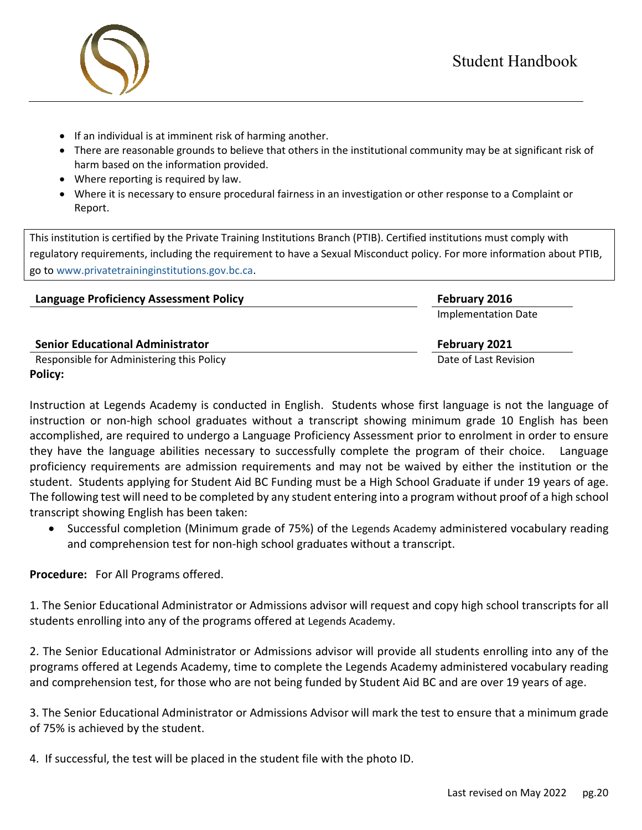

- If an individual is at imminent risk of harming another.
- There are reasonable grounds to believe that others in the institutional community may be at significant risk of harm based on the information provided.
- Where reporting is required by law.
- Where it is necessary to ensure procedural fairness in an investigation or other response to a Complaint or Report.

This institution is certified by the Private Training Institutions Branch (PTIB). Certified institutions must comply with regulatory requirements, including the requirement to have a Sexual Misconduct policy. For more information about PTIB, go to [www.privatetraininginstitutions.gov.bc.ca.](http://www.privatetraininginstitutions.gov.bc.ca/)

| <b>Language Proficiency Assessment Policy</b> | February 2016         |
|-----------------------------------------------|-----------------------|
|                                               | Implementation Date   |
| <b>Senior Educational Administrator</b>       | February 2021         |
| Responsible for Administering this Policy     | Date of Last Revision |
| Policy:                                       |                       |

Instruction at Legends Academy is conducted in English. Students whose first language is not the language of instruction or non-high school graduates without a transcript showing minimum grade 10 English has been accomplished, are required to undergo a Language Proficiency Assessment prior to enrolment in order to ensure they have the language abilities necessary to successfully complete the program of their choice. Language proficiency requirements are admission requirements and may not be waived by either the institution or the student. Students applying for Student Aid BC Funding must be a High School Graduate if under 19 years of age. The following test will need to be completed by any student entering into a program without proof of a high school transcript showing English has been taken:

• Successful completion (Minimum grade of 75%) of the Legends Academy administered vocabulary reading and comprehension test for non-high school graduates without a transcript.

**Procedure:** For All Programs offered.

1. The Senior Educational Administrator or Admissions advisor will request and copy high school transcripts for all students enrolling into any of the programs offered at Legends Academy.

2. The Senior Educational Administrator or Admissions advisor will provide all students enrolling into any of the programs offered at Legends Academy, time to complete the Legends Academy administered vocabulary reading and comprehension test, for those who are not being funded by Student Aid BC and are over 19 years of age.

3. The Senior Educational Administrator or Admissions Advisor will mark the test to ensure that a minimum grade of 75% is achieved by the student.

4. If successful, the test will be placed in the student file with the photo ID.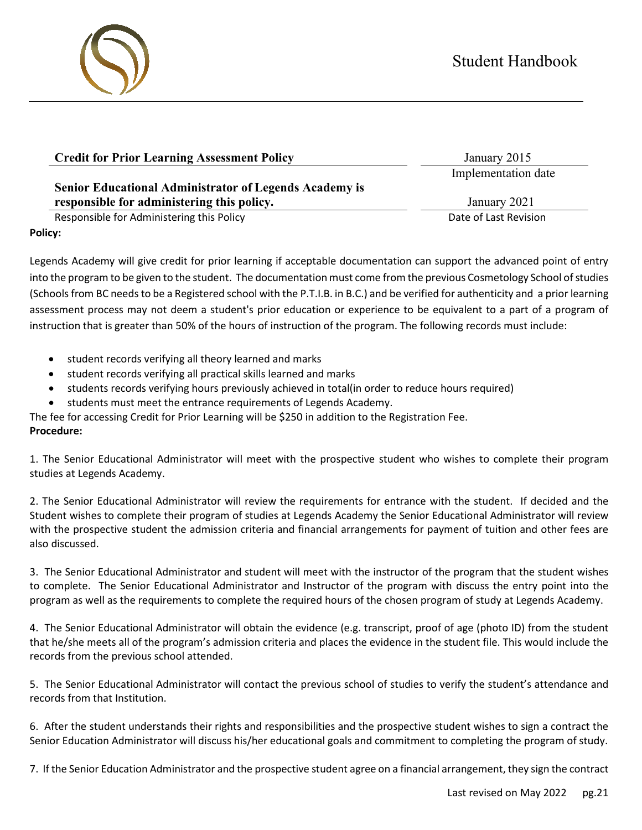# Student Handbook

# **Senior Educational Administrator of Legends Academy is responsible for administering this policy.** January 2021

Responsible for Administering this Policy **Date of Last Revision** Date of Last Revision

# **Policy:**

Legends Academy will give credit for prior learning if acceptable documentation can support the advanced point of entry into the program to be given to the student. The documentation must come from the previous Cosmetology School of studies (Schools from BC needs to be a Registered school with the P.T.I.B. in B.C.) and be verified for authenticity and a prior learning assessment process may not deem a student's prior education or experience to be equivalent to a part of a program of instruction that is greater than 50% of the hours of instruction of the program. The following records must include:

- student records verifying all theory learned and marks
- student records verifying all practical skills learned and marks
- students records verifying hours previously achieved in total(in order to reduce hours required)
- students must meet the entrance requirements of Legends Academy.

The fee for accessing Credit for Prior Learning will be \$250 in addition to the Registration Fee.

# **Procedure:**

1. The Senior Educational Administrator will meet with the prospective student who wishes to complete their program studies at Legends Academy.

2. The Senior Educational Administrator will review the requirements for entrance with the student. If decided and the Student wishes to complete their program of studies at Legends Academy the Senior Educational Administrator will review with the prospective student the admission criteria and financial arrangements for payment of tuition and other fees are also discussed.

3. The Senior Educational Administrator and student will meet with the instructor of the program that the student wishes to complete. The Senior Educational Administrator and Instructor of the program with discuss the entry point into the program as well as the requirements to complete the required hours of the chosen program of study at Legends Academy.

4. The Senior Educational Administrator will obtain the evidence (e.g. transcript, proof of age (photo ID) from the student that he/she meets all of the program's admission criteria and places the evidence in the student file. This would include the records from the previous school attended.

5. The Senior Educational Administrator will contact the previous school of studies to verify the student's attendance and records from that Institution.

6. After the student understands their rights and responsibilities and the prospective student wishes to sign a contract the Senior Education Administrator will discuss his/her educational goals and commitment to completing the program of study.

7. If the Senior Education Administrator and the prospective student agree on a financial arrangement, they sign the contract



Implementation date

**Credit for Prior Learning Assessment Policy** January 2015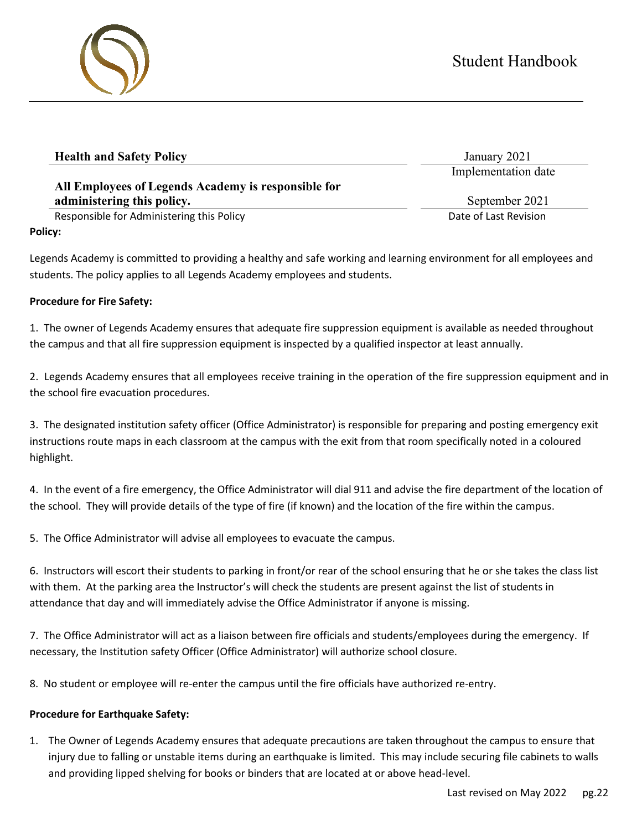| <b>Health and Safety Policy</b>                     | January 2021          |
|-----------------------------------------------------|-----------------------|
|                                                     | Implementation date   |
| All Employees of Legends Academy is responsible for |                       |
| administering this policy.                          | September 2021        |
| Responsible for Administering this Policy           | Date of Last Revision |
| Policy:                                             |                       |

Legends Academy is committed to providing a healthy and safe working and learning environment for all employees and students. The policy applies to all Legends Academy employees and students.

## **Procedure for Fire Safety:**

1. The owner of Legends Academy ensures that adequate fire suppression equipment is available as needed throughout the campus and that all fire suppression equipment is inspected by a qualified inspector at least annually.

2. Legends Academy ensures that all employees receive training in the operation of the fire suppression equipment and in the school fire evacuation procedures.

3. The designated institution safety officer (Office Administrator) is responsible for preparing and posting emergency exit instructions route maps in each classroom at the campus with the exit from that room specifically noted in a coloured highlight.

4. In the event of a fire emergency, the Office Administrator will dial 911 and advise the fire department of the location of the school. They will provide details of the type of fire (if known) and the location of the fire within the campus.

5. The Office Administrator will advise all employees to evacuate the campus.

6. Instructors will escort their students to parking in front/or rear of the school ensuring that he or she takes the class list with them. At the parking area the Instructor's will check the students are present against the list of students in attendance that day and will immediately advise the Office Administrator if anyone is missing.

7. The Office Administrator will act as a liaison between fire officials and students/employees during the emergency. If necessary, the Institution safety Officer (Office Administrator) will authorize school closure.

8. No student or employee will re-enter the campus until the fire officials have authorized re-entry.

# **Procedure for Earthquake Safety:**

1. The Owner of Legends Academy ensures that adequate precautions are taken throughout the campus to ensure that injury due to falling or unstable items during an earthquake is limited. This may include securing file cabinets to walls and providing lipped shelving for books or binders that are located at or above head-level.